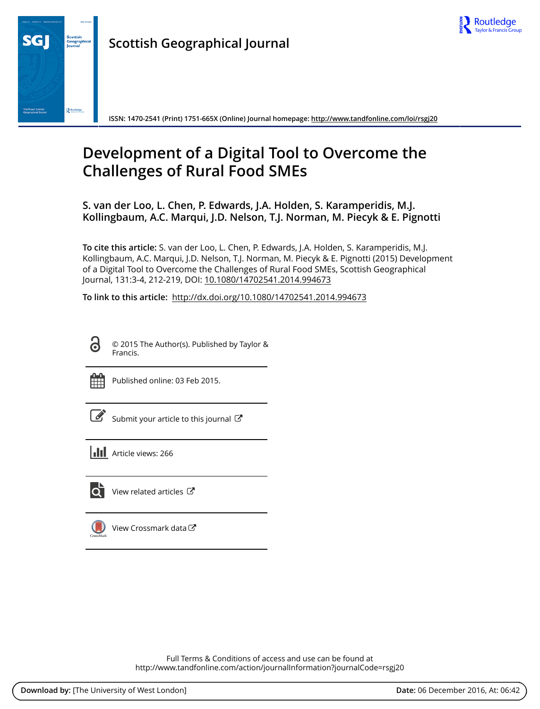



**ISSN: 1470-2541 (Print) 1751-665X (Online) Journal homepage: <http://www.tandfonline.com/loi/rsgj20>**

# **Development of a Digital Tool to Overcome the Challenges of Rural Food SMEs**

**S. van der Loo, L. Chen, P. Edwards, J.A. Holden, S. Karamperidis, M.J. Kollingbaum, A.C. Marqui, J.D. Nelson, T.J. Norman, M. Piecyk & E. Pignotti**

**To cite this article:** S. van der Loo, L. Chen, P. Edwards, J.A. Holden, S. Karamperidis, M.J. Kollingbaum, A.C. Marqui, J.D. Nelson, T.J. Norman, M. Piecyk & E. Pignotti (2015) Development of a Digital Tool to Overcome the Challenges of Rural Food SMEs, Scottish Geographical Journal, 131:3-4, 212-219, DOI: [10.1080/14702541.2014.994673](http://www.tandfonline.com/action/showCitFormats?doi=10.1080/14702541.2014.994673)

**To link to this article:** <http://dx.doi.org/10.1080/14702541.2014.994673>

 $\mathbf \Theta$ 

© 2015 The Author(s). Published by Taylor & Francis.



Published online: 03 Feb 2015.

[Submit your article to this journal](http://www.tandfonline.com/action/authorSubmission?journalCode=rsgj20&show=instructions)  $\mathbb{Z}$ 





[View related articles](http://www.tandfonline.com/doi/mlt/10.1080/14702541.2014.994673)  $\mathbb{Z}$ 



[View Crossmark data](http://crossmark.crossref.org/dialog/?doi=10.1080/14702541.2014.994673&domain=pdf&date_stamp=2015-02-03)<sup>C</sup>

Full Terms & Conditions of access and use can be found at <http://www.tandfonline.com/action/journalInformation?journalCode=rsgj20>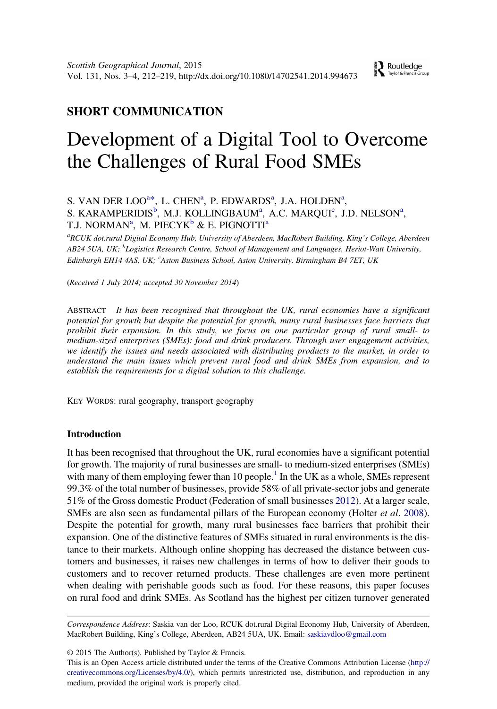### SHORT COMMUNICATION

## Development of a Digital Tool to Overcome the Challenges of Rural Food SMEs

### S. VAN DER  $LOO^{a*}$ , L. CHEN<sup>a</sup>, P. EDWARDS<sup>a</sup>, J.A. HOLDEN<sup>a</sup>, S. KARAMPERIDIS<sup>b</sup>, M.J. KOLLINGBAUM<sup>a</sup>, A.C. MARQUI<sup>c</sup>, J.D. NELSON<sup>a</sup>, T.J. NORMAN<sup>a</sup>, M. PIECYK<sup>b</sup> & E. PIGNOTTI<sup>a</sup>

<sup>a</sup>RCUK dot.rural Digital Economy Hub, University of Aberdeen, MacRobert Building, King's College, Aberdeen AB24 5UA, UK; <sup>b</sup>Logistics Research Centre, School of Management and Languages, Heriot-Watt University, Edinburgh EH14 4AS, UK; <sup>c</sup>Aston Business School, Aston University, Birmingham B4 7ET, UK

(Received 1 July 2014; accepted 30 November 2014)

ABSTRACT It has been recognised that throughout the UK, rural economies have a significant potential for growth but despite the potential for growth, many rural businesses face barriers that prohibit their expansion. In this study, we focus on one particular group of rural small- to medium-sized enterprises (SMEs): food and drink producers. Through user engagement activities, we identify the issues and needs associated with distributing products to the market, in order to understand the main issues which prevent rural food and drink SMEs from expansion, and to establish the requirements for a digital solution to this challenge.

KEY WORDS: rural geography, transport geography

#### Introduction

It has been recognised that throughout the UK, rural economies have a significant potential for growth. The majority of rural businesses are small- to medium-sized enterprises (SMEs) with many of them employing fewer than [1](#page-7-0)0 people.<sup>1</sup> In the UK as a whole, SMEs represent 99.3% of the total number of businesses, provide 58% of all private-sector jobs and generate 51% of the Gross domestic Product (Federation of small businesses [2012](#page-7-0)). At a larger scale, SMEs are also seen as fundamental pillars of the European economy (Holter et al. [2008\)](#page-8-0). Despite the potential for growth, many rural businesses face barriers that prohibit their expansion. One of the distinctive features of SMEs situated in rural environments is the distance to their markets. Although online shopping has decreased the distance between customers and businesses, it raises new challenges in terms of how to deliver their goods to customers and to recover returned products. These challenges are even more pertinent when dealing with perishable goods such as food. For these reasons, this paper focuses on rural food and drink SMEs. As Scotland has the highest per citizen turnover generated

© 2015 The Author(s). Published by Taylor & Francis.

This is an Open Access article distributed under the terms of the Creative Commons Attribution License ([http://](http://creativecommons.org/Licenses/by/4.0/) [creativecommons.org/Licenses/by/4.0/\)](http://creativecommons.org/Licenses/by/4.0/), which permits unrestricted use, distribution, and reproduction in any medium, provided the original work is properly cited.

Correspondence Address: Saskia van der Loo, RCUK dot.rural Digital Economy Hub, University of Aberdeen, MacRobert Building, King's College, Aberdeen, AB24 5UA, UK. Email: [saskiavdloo@gmail.com](mailto:saskiavdloo@gmail.com)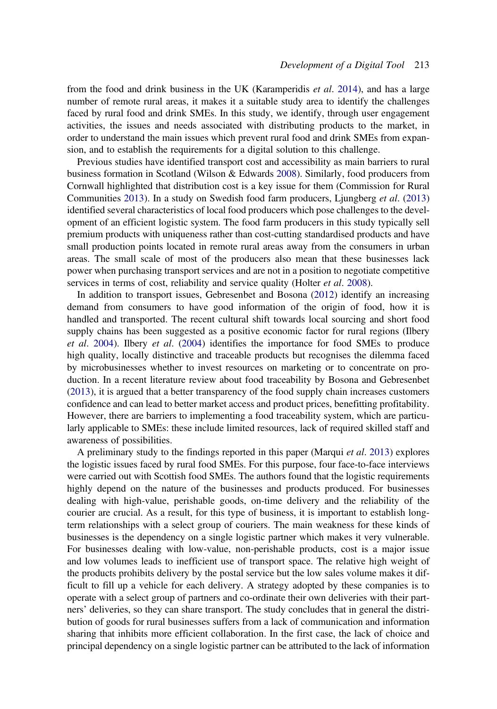from the food and drink business in the UK (Karamperidis et al. [2014](#page-8-0)), and has a large number of remote rural areas, it makes it a suitable study area to identify the challenges faced by rural food and drink SMEs. In this study, we identify, through user engagement activities, the issues and needs associated with distributing products to the market, in order to understand the main issues which prevent rural food and drink SMEs from expansion, and to establish the requirements for a digital solution to this challenge.

Previous studies have identified transport cost and accessibility as main barriers to rural business formation in Scotland (Wilson & Edwards [2008\)](#page-8-0). Similarly, food producers from Cornwall highlighted that distribution cost is a key issue for them (Commission for Rural Communities [2013](#page-7-0)). In a study on Swedish food farm producers, Liungberg *et al.* [\(2013](#page-8-0)) identified several characteristics of local food producers which pose challenges to the development of an efficient logistic system. The food farm producers in this study typically sell premium products with uniqueness rather than cost-cutting standardised products and have small production points located in remote rural areas away from the consumers in urban areas. The small scale of most of the producers also mean that these businesses lack power when purchasing transport services and are not in a position to negotiate competitive services in terms of cost, reliability and service quality (Holter *et al.* [2008\)](#page-8-0).

In addition to transport issues, Gebresenbet and Bosona ([2012\)](#page-7-0) identify an increasing demand from consumers to have good information of the origin of food, how it is handled and transported. The recent cultural shift towards local sourcing and short food supply chains has been suggested as a positive economic factor for rural regions (Ilbery et al. [2004\)](#page-8-0). Ilbery et al. ([2004\)](#page-8-0) identifies the importance for food SMEs to produce high quality, locally distinctive and traceable products but recognises the dilemma faced by microbusinesses whether to invest resources on marketing or to concentrate on production. In a recent literature review about food traceability by Bosona and Gebresenbet ([2013\)](#page-7-0), it is argued that a better transparency of the food supply chain increases customers confidence and can lead to better market access and product prices, benefitting profitability. However, there are barriers to implementing a food traceability system, which are particularly applicable to SMEs: these include limited resources, lack of required skilled staff and awareness of possibilities.

A preliminary study to the findings reported in this paper (Marqui et al. [2013\)](#page-8-0) explores the logistic issues faced by rural food SMEs. For this purpose, four face-to-face interviews were carried out with Scottish food SMEs. The authors found that the logistic requirements highly depend on the nature of the businesses and products produced. For businesses dealing with high-value, perishable goods, on-time delivery and the reliability of the courier are crucial. As a result, for this type of business, it is important to establish longterm relationships with a select group of couriers. The main weakness for these kinds of businesses is the dependency on a single logistic partner which makes it very vulnerable. For businesses dealing with low-value, non-perishable products, cost is a major issue and low volumes leads to inefficient use of transport space. The relative high weight of the products prohibits delivery by the postal service but the low sales volume makes it difficult to fill up a vehicle for each delivery. A strategy adopted by these companies is to operate with a select group of partners and co-ordinate their own deliveries with their partners' deliveries, so they can share transport. The study concludes that in general the distribution of goods for rural businesses suffers from a lack of communication and information sharing that inhibits more efficient collaboration. In the first case, the lack of choice and principal dependency on a single logistic partner can be attributed to the lack of information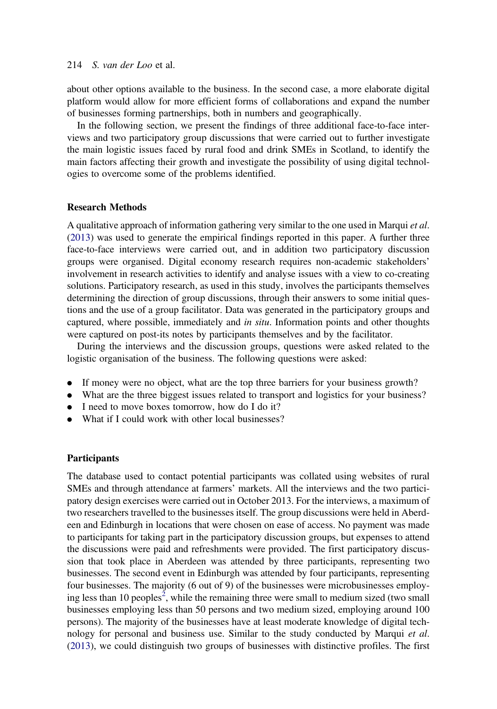#### 214 S. van der Loo et al.

about other options available to the business. In the second case, a more elaborate digital platform would allow for more efficient forms of collaborations and expand the number of businesses forming partnerships, both in numbers and geographically.

In the following section, we present the findings of three additional face-to-face interviews and two participatory group discussions that were carried out to further investigate the main logistic issues faced by rural food and drink SMEs in Scotland, to identify the main factors affecting their growth and investigate the possibility of using digital technologies to overcome some of the problems identified.

#### Research Methods

A qualitative approach of information gathering very similar to the one used in Marqui et al. ([2013\)](#page-8-0) was used to generate the empirical findings reported in this paper. A further three face-to-face interviews were carried out, and in addition two participatory discussion groups were organised. Digital economy research requires non-academic stakeholders' involvement in research activities to identify and analyse issues with a view to co-creating solutions. Participatory research, as used in this study, involves the participants themselves determining the direction of group discussions, through their answers to some initial questions and the use of a group facilitator. Data was generated in the participatory groups and captured, where possible, immediately and in situ. Information points and other thoughts were captured on post-its notes by participants themselves and by the facilitator.

During the interviews and the discussion groups, questions were asked related to the logistic organisation of the business. The following questions were asked:

- . If money were no object, what are the top three barriers for your business growth?
- . What are the three biggest issues related to transport and logistics for your business?
- I need to move boxes tomorrow, how do I do it?
- . What if I could work with other local businesses?

#### **Participants**

The database used to contact potential participants was collated using websites of rural SMEs and through attendance at farmers' markets. All the interviews and the two participatory design exercises were carried out in October 2013. For the interviews, a maximum of two researchers travelled to the businesses itself. The group discussions were held in Aberdeen and Edinburgh in locations that were chosen on ease of access. No payment was made to participants for taking part in the participatory discussion groups, but expenses to attend the discussions were paid and refreshments were provided. The first participatory discussion that took place in Aberdeen was attended by three participants, representing two businesses. The second event in Edinburgh was attended by four participants, representing four businesses. The majority (6 out of 9) of the businesses were microbusinesses employ-ing less than 10 peoples<sup>[2](#page-7-0)</sup>, while the remaining three were small to medium sized (two small businesses employing less than 50 persons and two medium sized, employing around 100 persons). The majority of the businesses have at least moderate knowledge of digital technology for personal and business use. Similar to the study conducted by Marqui *et al.* ([2013\)](#page-8-0), we could distinguish two groups of businesses with distinctive profiles. The first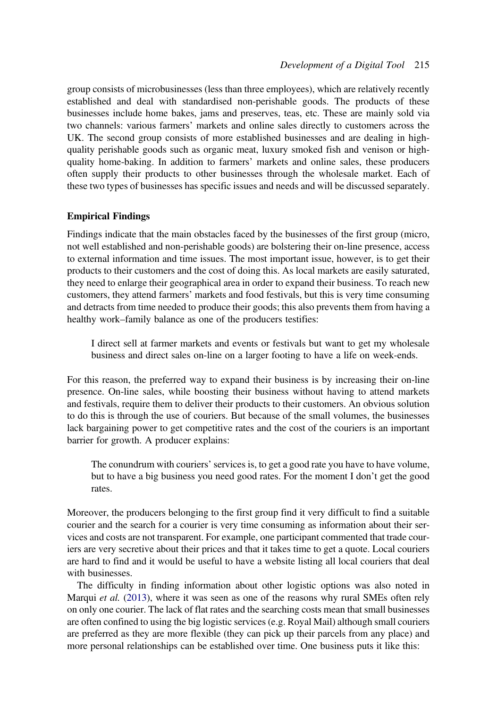#### Development of a Digital Tool 215

group consists of microbusinesses (less than three employees), which are relatively recently established and deal with standardised non-perishable goods. The products of these businesses include home bakes, jams and preserves, teas, etc. These are mainly sold via two channels: various farmers' markets and online sales directly to customers across the UK. The second group consists of more established businesses and are dealing in highquality perishable goods such as organic meat, luxury smoked fish and venison or highquality home-baking. In addition to farmers' markets and online sales, these producers often supply their products to other businesses through the wholesale market. Each of these two types of businesses has specific issues and needs and will be discussed separately.

#### Empirical Findings

Findings indicate that the main obstacles faced by the businesses of the first group (micro, not well established and non-perishable goods) are bolstering their on-line presence, access to external information and time issues. The most important issue, however, is to get their products to their customers and the cost of doing this. As local markets are easily saturated, they need to enlarge their geographical area in order to expand their business. To reach new customers, they attend farmers' markets and food festivals, but this is very time consuming and detracts from time needed to produce their goods; this also prevents them from having a healthy work–family balance as one of the producers testifies:

I direct sell at farmer markets and events or festivals but want to get my wholesale business and direct sales on-line on a larger footing to have a life on week-ends.

For this reason, the preferred way to expand their business is by increasing their on-line presence. On-line sales, while boosting their business without having to attend markets and festivals, require them to deliver their products to their customers. An obvious solution to do this is through the use of couriers. But because of the small volumes, the businesses lack bargaining power to get competitive rates and the cost of the couriers is an important barrier for growth. A producer explains:

The conundrum with couriers' services is, to get a good rate you have to have volume, but to have a big business you need good rates. For the moment I don't get the good rates.

Moreover, the producers belonging to the first group find it very difficult to find a suitable courier and the search for a courier is very time consuming as information about their services and costs are not transparent. For example, one participant commented that trade couriers are very secretive about their prices and that it takes time to get a quote. Local couriers are hard to find and it would be useful to have a website listing all local couriers that deal with businesses.

The difficulty in finding information about other logistic options was also noted in Marqui *et al.* ([2013\)](#page-8-0), where it was seen as one of the reasons why rural SMEs often rely on only one courier. The lack of flat rates and the searching costs mean that small businesses are often confined to using the big logistic services (e.g. Royal Mail) although small couriers are preferred as they are more flexible (they can pick up their parcels from any place) and more personal relationships can be established over time. One business puts it like this: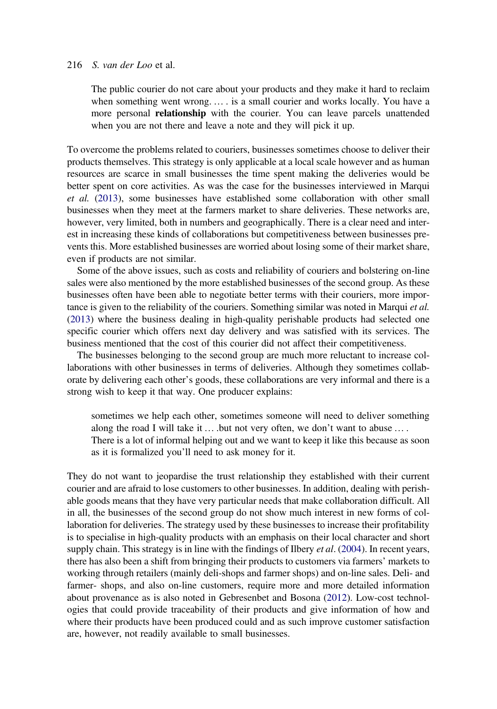#### 216 S. van der Loo et al.

The public courier do not care about your products and they make it hard to reclaim when something went wrong. … . is a small courier and works locally. You have a more personal **relationship** with the courier. You can leave parcels unattended when you are not there and leave a note and they will pick it up.

To overcome the problems related to couriers, businesses sometimes choose to deliver their products themselves. This strategy is only applicable at a local scale however and as human resources are scarce in small businesses the time spent making the deliveries would be better spent on core activities. As was the case for the businesses interviewed in Marqui et al. [\(2013](#page-8-0)), some businesses have established some collaboration with other small businesses when they meet at the farmers market to share deliveries. These networks are, however, very limited, both in numbers and geographically. There is a clear need and interest in increasing these kinds of collaborations but competitiveness between businesses prevents this. More established businesses are worried about losing some of their market share, even if products are not similar.

Some of the above issues, such as costs and reliability of couriers and bolstering on-line sales were also mentioned by the more established businesses of the second group. As these businesses often have been able to negotiate better terms with their couriers, more importance is given to the reliability of the couriers. Something similar was noted in Marqui *et al.* ([2013\)](#page-8-0) where the business dealing in high-quality perishable products had selected one specific courier which offers next day delivery and was satisfied with its services. The business mentioned that the cost of this courier did not affect their competitiveness.

The businesses belonging to the second group are much more reluctant to increase collaborations with other businesses in terms of deliveries. Although they sometimes collaborate by delivering each other's goods, these collaborations are very informal and there is a strong wish to keep it that way. One producer explains:

sometimes we help each other, sometimes someone will need to deliver something along the road I will take it … .but not very often, we don't want to abuse … . There is a lot of informal helping out and we want to keep it like this because as soon as it is formalized you'll need to ask money for it.

They do not want to jeopardise the trust relationship they established with their current courier and are afraid to lose customers to other businesses. In addition, dealing with perishable goods means that they have very particular needs that make collaboration difficult. All in all, the businesses of the second group do not show much interest in new forms of collaboration for deliveries. The strategy used by these businesses to increase their profitability is to specialise in high-quality products with an emphasis on their local character and short supply chain. This strategy is in line with the findings of Ilbery et al. ([2004\)](#page-8-0). In recent years, there has also been a shift from bringing their products to customers via farmers' markets to working through retailers (mainly deli-shops and farmer shops) and on-line sales. Deli- and farmer- shops, and also on-line customers, require more and more detailed information about provenance as is also noted in Gebresenbet and Bosona ([2012\)](#page-7-0). Low-cost technologies that could provide traceability of their products and give information of how and where their products have been produced could and as such improve customer satisfaction are, however, not readily available to small businesses.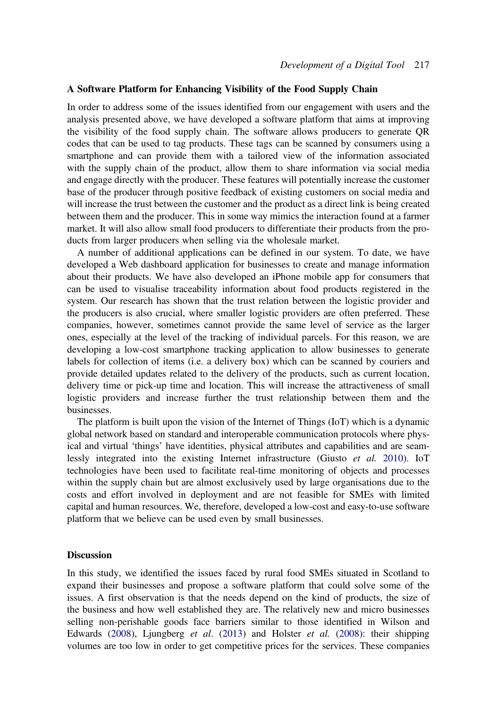#### A Software Platform for Enhancing Visibility of the Food Supply Chain

In order to address some of the issues identified from our engagement with users and the analysis presented above, we have developed a software platform that aims at improving the visibility of the food supply chain. The software allows producers to generate QR codes that can be used to tag products. These tags can be scanned by consumers using a smartphone and can provide them with a tailored view of the information associated with the supply chain of the product, allow them to share information via social media and engage directly with the producer. These features will potentially increase the customer base of the producer through positive feedback of existing customers on social media and will increase the trust between the customer and the product as a direct link is being created between them and the producer. This in some way mimics the interaction found at a farmer market. It will also allow small food producers to differentiate their products from the products from larger producers when selling via the wholesale market.

A number of additional applications can be defined in our system. To date, we have developed a Web dashboard application for businesses to create and manage information about their products. We have also developed an iPhone mobile app for consumers that can be used to visualise traceability information about food products registered in the system. Our research has shown that the trust relation between the logistic provider and the producers is also crucial, where smaller logistic providers are often preferred. These companies, however, sometimes cannot provide the same level of service as the larger ones, especially at the level of the tracking of individual parcels. For this reason, we are developing a low-cost smartphone tracking application to allow businesses to generate labels for collection of items (i.e. a delivery box) which can be scanned by couriers and provide detailed updates related to the delivery of the products, such as current location, delivery time or pick-up time and location. This will increase the attractiveness of small logistic providers and increase further the trust relationship between them and the businesses.

The platform is built upon the vision of the Internet of Things (IoT) which is a dynamic global network based on standard and interoperable communication protocols where physical and virtual 'things' have identities, physical attributes and capabilities and are seamlessly integrated into the existing Internet infrastructure (Giusto et al. [2010](#page-8-0)). IoT technologies have been used to facilitate real-time monitoring of objects and processes within the supply chain but are almost exclusively used by large organisations due to the costs and effort involved in deployment and are not feasible for SMEs with limited capital and human resources. We, therefore, developed a low-cost and easy-to-use software platform that we believe can be used even by small businesses.

#### **Discussion**

In this study, we identified the issues faced by rural food SMEs situated in Scotland to expand their businesses and propose a software platform that could solve some of the issues. A first observation is that the needs depend on the kind of products, the size of the business and how well established they are. The relatively new and micro businesses selling non-perishable goods face barriers similar to those identified in Wilson and Edwards [\(2008](#page-8-0)), Ljungberg et al. ([2013\)](#page-8-0) and Holster et al. ([2008\)](#page-8-0): their shipping volumes are too low in order to get competitive prices for the services. These companies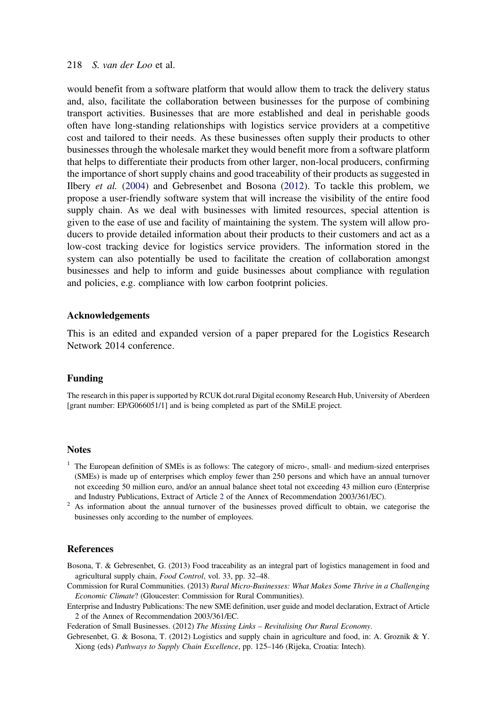#### <span id="page-7-0"></span>218 S. van der Loo et al.

would benefit from a software platform that would allow them to track the delivery status and, also, facilitate the collaboration between businesses for the purpose of combining transport activities. Businesses that are more established and deal in perishable goods often have long-standing relationships with logistics service providers at a competitive cost and tailored to their needs. As these businesses often supply their products to other businesses through the wholesale market they would benefit more from a software platform that helps to differentiate their products from other larger, non-local producers, confirming the importance of short supply chains and good traceability of their products as suggested in Ilbery et al. [\(2004](#page-8-0)) and Gebresenbet and Bosona (2012). To tackle this problem, we propose a user-friendly software system that will increase the visibility of the entire food supply chain. As we deal with businesses with limited resources, special attention is given to the ease of use and facility of maintaining the system. The system will allow producers to provide detailed information about their products to their customers and act as a low-cost tracking device for logistics service providers. The information stored in the system can also potentially be used to facilitate the creation of collaboration amongst businesses and help to inform and guide businesses about compliance with regulation and policies, e.g. compliance with low carbon footprint policies.

#### Acknowledgements

This is an edited and expanded version of a paper prepared for the Logistics Research Network 2014 conference.

#### Funding

The research in this paper is supported by RCUK dot.rural Digital economy Research Hub, University of Aberdeen [grant number: EP/G066051/1] and is being completed as part of the SMiLE project.

#### **Notes**

- <sup>1</sup> The European definition of SMEs is as follows: The category of micro-, small- and medium-sized enterprises (SMEs) is made up of enterprises which employ fewer than 250 persons and which have an annual turnover not exceeding 50 million euro, and/or an annual balance sheet total not exceeding 43 million euro (Enterprise
- and Industry Publications, Extract of Article <sup>2</sup> of the Annex of Recommendation 2003/361/EC). <sup>2</sup> As information about the annual turnover of the businesses proved difficult to obtain, we categorise the businesses only according to the number of employees.

#### **References**

- Bosona, T. & Gebresenbet, G. (2013) Food traceability as an integral part of logistics management in food and agricultural supply chain, Food Control, vol. 33, pp. 32–48.
- Commission for Rural Communities. (2013) Rural Micro-Businesses: What Makes Some Thrive in a Challenging Economic Climate? (Gloucester: Commission for Rural Communities).
- Enterprise and Industry Publications: The new SME definition, user guide and model declaration, Extract of Article 2 of the Annex of Recommendation 2003/361/EC.

Federation of Small Businesses. (2012) The Missing Links – Revitalising Our Rural Economy.

Gebresenbet, G. & Bosona, T. (2012) Logistics and supply chain in agriculture and food, in: A. Groznik & Y. Xiong (eds) Pathways to Supply Chain Excellence, pp. 125–146 (Rijeka, Croatia: Intech).